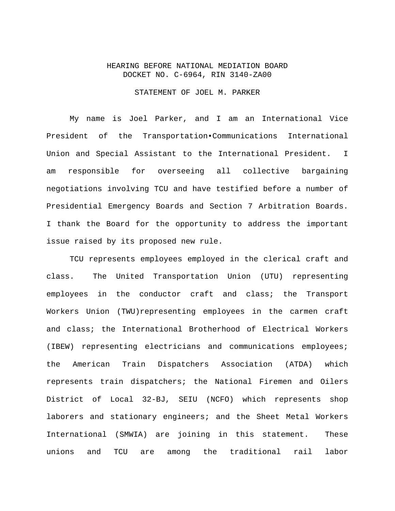## HEARING BEFORE NATIONAL MEDIATION BOARD DOCKET NO. C-6964, RIN 3140-ZA00

### STATEMENT OF JOEL M. PARKER

 My name is Joel Parker, and I am an International Vice President of the Transportation•Communications International Union and Special Assistant to the International President. I am responsible for overseeing all collective bargaining negotiations involving TCU and have testified before a number of Presidential Emergency Boards and Section 7 Arbitration Boards. I thank the Board for the opportunity to address the important issue raised by its proposed new rule.

 TCU represents employees employed in the clerical craft and class. The United Transportation Union (UTU) representing employees in the conductor craft and class; the Transport Workers Union (TWU)representing employees in the carmen craft and class; the International Brotherhood of Electrical Workers (IBEW) representing electricians and communications employees; the American Train Dispatchers Association (ATDA) which represents train dispatchers; the National Firemen and Oilers District of Local 32-BJ, SEIU (NCFO) which represents shop laborers and stationary engineers; and the Sheet Metal Workers International (SMWIA) are joining in this statement. These unions and TCU are among the traditional rail labor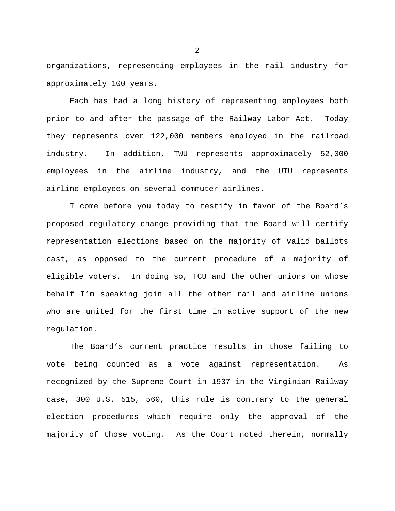organizations, representing employees in the rail industry for approximately 100 years.

 Each has had a long history of representing employees both prior to and after the passage of the Railway Labor Act. Today they represents over 122,000 members employed in the railroad industry. In addition, TWU represents approximately 52,000 employees in the airline industry, and the UTU represents airline employees on several commuter airlines.

 I come before you today to testify in favor of the Board's proposed regulatory change providing that the Board will certify representation elections based on the majority of valid ballots cast, as opposed to the current procedure of a majority of eligible voters. In doing so, TCU and the other unions on whose behalf I'm speaking join all the other rail and airline unions who are united for the first time in active support of the new regulation.

 The Board's current practice results in those failing to vote being counted as a vote against representation. As recognized by the Supreme Court in 1937 in the Virginian Railway case, 300 U.S. 515, 560, this rule is contrary to the general election procedures which require only the approval of the majority of those voting. As the Court noted therein, normally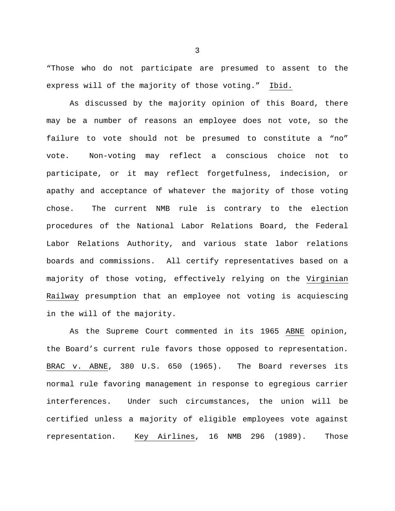"Those who do not participate are presumed to assent to the express will of the majority of those voting." Ibid.

 As discussed by the majority opinion of this Board, there may be a number of reasons an employee does not vote, so the failure to vote should not be presumed to constitute a "no" vote. Non-voting may reflect a conscious choice not to participate, or it may reflect forgetfulness, indecision, or apathy and acceptance of whatever the majority of those voting chose. The current NMB rule is contrary to the election procedures of the National Labor Relations Board, the Federal Labor Relations Authority, and various state labor relations boards and commissions. All certify representatives based on a majority of those voting, effectively relying on the Virginian Railway presumption that an employee not voting is acquiescing in the will of the majority.

 As the Supreme Court commented in its 1965 ABNE opinion, the Board's current rule favors those opposed to representation. BRAC v. ABNE, 380 U.S. 650 (1965). The Board reverses its normal rule favoring management in response to egregious carrier interferences. Under such circumstances, the union will be certified unless a majority of eligible employees vote against representation. Key Airlines, 16 NMB 296 (1989). Those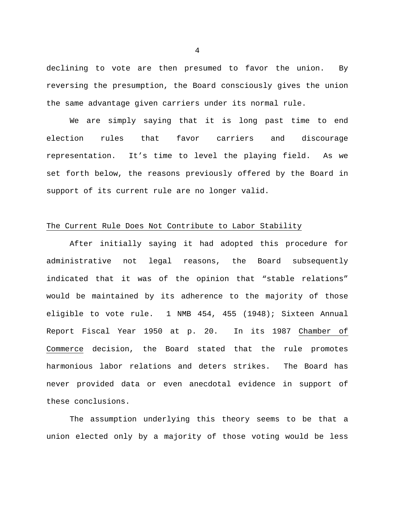declining to vote are then presumed to favor the union. By reversing the presumption, the Board consciously gives the union the same advantage given carriers under its normal rule.

 We are simply saying that it is long past time to end election rules that favor carriers and discourage representation. It's time to level the playing field. As we set forth below, the reasons previously offered by the Board in support of its current rule are no longer valid.

#### The Current Rule Does Not Contribute to Labor Stability

 After initially saying it had adopted this procedure for administrative not legal reasons, the Board subsequently indicated that it was of the opinion that "stable relations" would be maintained by its adherence to the majority of those eligible to vote rule. 1 NMB 454, 455 (1948); Sixteen Annual Report Fiscal Year 1950 at p. 20. In its 1987 Chamber of Commerce decision, the Board stated that the rule promotes harmonious labor relations and deters strikes. The Board has never provided data or even anecdotal evidence in support of these conclusions.

 The assumption underlying this theory seems to be that a union elected only by a majority of those voting would be less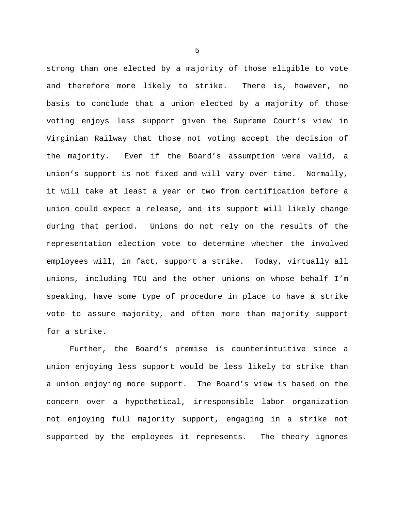strong than one elected by a majority of those eligible to vote and therefore more likely to strike. There is, however, no basis to conclude that a union elected by a majority of those voting enjoys less support given the Supreme Court's view in Virginian Railway that those not voting accept the decision of the majority. Even if the Board's assumption were valid, a union's support is not fixed and will vary over time. Normally, it will take at least a year or two from certification before a union could expect a release, and its support will likely change during that period. Unions do not rely on the results of the representation election vote to determine whether the involved employees will, in fact, support a strike. Today, virtually all unions, including TCU and the other unions on whose behalf I'm speaking, have some type of procedure in place to have a strike vote to assure majority, and often more than majority support for a strike.

 Further, the Board's premise is counterintuitive since a union enjoying less support would be less likely to strike than a union enjoying more support. The Board's view is based on the concern over a hypothetical, irresponsible labor organization not enjoying full majority support, engaging in a strike not supported by the employees it represents. The theory ignores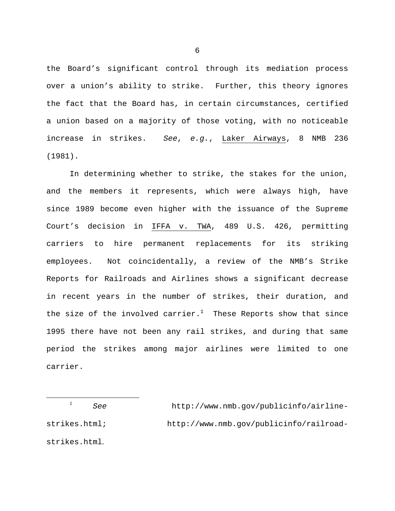the Board's significant control through its mediation process over a union's ability to strike. Further, this theory ignores the fact that the Board has, in certain circumstances, certified a union based on a majority of those voting, with no noticeable increase in strikes. *See*, *e.g.*, Laker Airways, 8 NMB 236 (1981).

 In determining whether to strike, the stakes for the union, and the members it represents, which were always high, have since 1989 become even higher with the issuance of the Supreme Court's decision in IFFA v. TWA, 489 U.S. 426, permitting carriers to hire permanent replacements for its striking employees. Not coincidentally, a review of the NMB's Strike Reports for Railroads and Airlines shows a significant decrease in recent years in the number of strikes, their duration, and the size of the involved carrier. $^1$  These Reports show that since 1995 there have not been any rail strikes, and during that same period the strikes among major airlines were limited to one carrier.

 1 *See* http://www.nmb.gov/publicinfo/airlinestrikes.html; http://www.nmb.gov/publicinfo/railroadstrikes.html.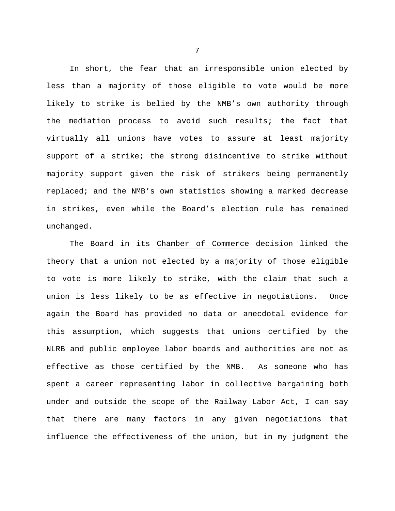In short, the fear that an irresponsible union elected by less than a majority of those eligible to vote would be more likely to strike is belied by the NMB's own authority through the mediation process to avoid such results; the fact that virtually all unions have votes to assure at least majority support of a strike; the strong disincentive to strike without majority support given the risk of strikers being permanently replaced; and the NMB's own statistics showing a marked decrease in strikes, even while the Board's election rule has remained unchanged.

 The Board in its Chamber of Commerce decision linked the theory that a union not elected by a majority of those eligible to vote is more likely to strike, with the claim that such a union is less likely to be as effective in negotiations. Once again the Board has provided no data or anecdotal evidence for this assumption, which suggests that unions certified by the NLRB and public employee labor boards and authorities are not as effective as those certified by the NMB. As someone who has spent a career representing labor in collective bargaining both under and outside the scope of the Railway Labor Act, I can say that there are many factors in any given negotiations that influence the effectiveness of the union, but in my judgment the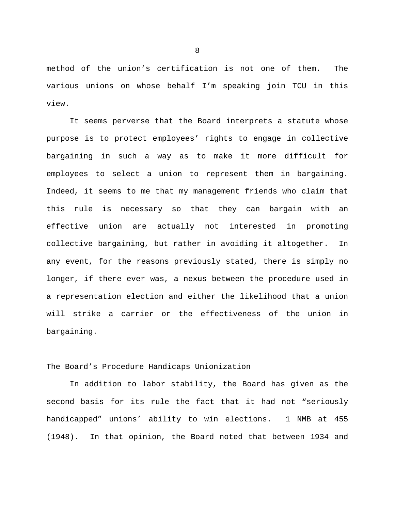method of the union's certification is not one of them. The various unions on whose behalf I'm speaking join TCU in this view.

 It seems perverse that the Board interprets a statute whose purpose is to protect employees' rights to engage in collective bargaining in such a way as to make it more difficult for employees to select a union to represent them in bargaining. Indeed, it seems to me that my management friends who claim that this rule is necessary so that they can bargain with an effective union are actually not interested in promoting collective bargaining, but rather in avoiding it altogether. In any event, for the reasons previously stated, there is simply no longer, if there ever was, a nexus between the procedure used in a representation election and either the likelihood that a union will strike a carrier or the effectiveness of the union in bargaining.

## The Board's Procedure Handicaps Unionization

 In addition to labor stability, the Board has given as the second basis for its rule the fact that it had not "seriously handicapped" unions' ability to win elections. 1 NMB at 455 (1948). In that opinion, the Board noted that between 1934 and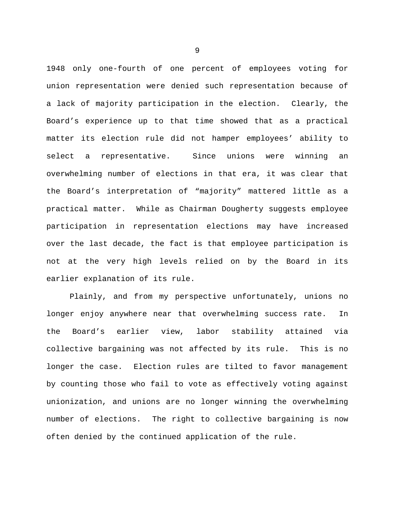1948 only one-fourth of one percent of employees voting for union representation were denied such representation because of a lack of majority participation in the election. Clearly, the Board's experience up to that time showed that as a practical matter its election rule did not hamper employees' ability to select a representative. Since unions were winning an overwhelming number of elections in that era, it was clear that the Board's interpretation of "majority" mattered little as a practical matter. While as Chairman Dougherty suggests employee participation in representation elections may have increased over the last decade, the fact is that employee participation is not at the very high levels relied on by the Board in its earlier explanation of its rule.

 Plainly, and from my perspective unfortunately, unions no longer enjoy anywhere near that overwhelming success rate. In the Board's earlier view, labor stability attained via collective bargaining was not affected by its rule. This is no longer the case. Election rules are tilted to favor management by counting those who fail to vote as effectively voting against unionization, and unions are no longer winning the overwhelming number of elections. The right to collective bargaining is now often denied by the continued application of the rule.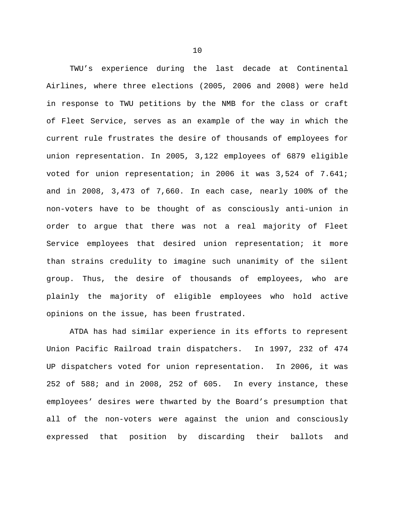TWU's experience during the last decade at Continental Airlines, where three elections (2005, 2006 and 2008) were held in response to TWU petitions by the NMB for the class or craft of Fleet Service, serves as an example of the way in which the current rule frustrates the desire of thousands of employees for union representation. In 2005, 3,122 employees of 6879 eligible voted for union representation; in 2006 it was 3,524 of 7.641; and in 2008, 3,473 of 7,660. In each case, nearly 100% of the non-voters have to be thought of as consciously anti-union in order to argue that there was not a real majority of Fleet Service employees that desired union representation; it more than strains credulity to imagine such unanimity of the silent group. Thus, the desire of thousands of employees, who are plainly the majority of eligible employees who hold active opinions on the issue, has been frustrated.

 ATDA has had similar experience in its efforts to represent Union Pacific Railroad train dispatchers. In 1997, 232 of 474 UP dispatchers voted for union representation. In 2006, it was 252 of 588; and in 2008, 252 of 605. In every instance, these employees' desires were thwarted by the Board's presumption that all of the non-voters were against the union and consciously expressed that position by discarding their ballots and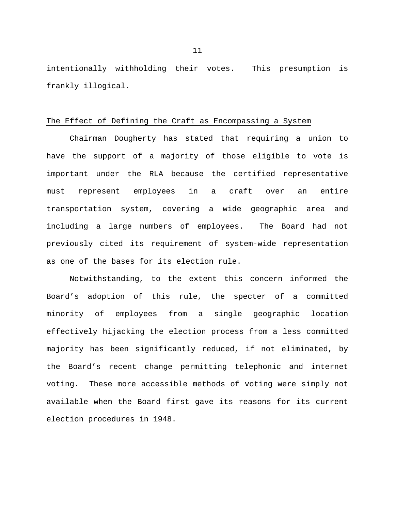intentionally withholding their votes. This presumption is frankly illogical.

#### The Effect of Defining the Craft as Encompassing a System

 Chairman Dougherty has stated that requiring a union to have the support of a majority of those eligible to vote is important under the RLA because the certified representative must represent employees in a craft over an entire transportation system, covering a wide geographic area and including a large numbers of employees. The Board had not previously cited its requirement of system-wide representation as one of the bases for its election rule.

 Notwithstanding, to the extent this concern informed the Board's adoption of this rule, the specter of a committed minority of employees from a single geographic location effectively hijacking the election process from a less committed majority has been significantly reduced, if not eliminated, by the Board's recent change permitting telephonic and internet voting. These more accessible methods of voting were simply not available when the Board first gave its reasons for its current election procedures in 1948.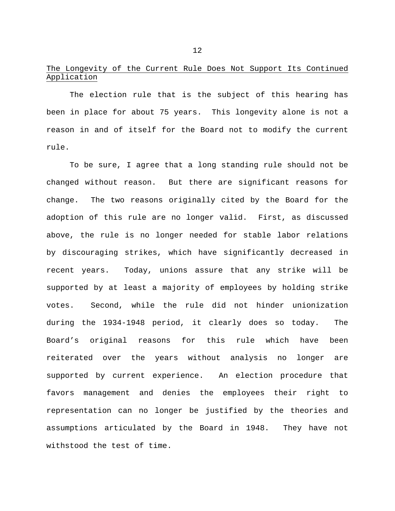# The Longevity of the Current Rule Does Not Support Its Continued Application

 The election rule that is the subject of this hearing has been in place for about 75 years. This longevity alone is not a reason in and of itself for the Board not to modify the current rule.

 To be sure, I agree that a long standing rule should not be changed without reason. But there are significant reasons for change. The two reasons originally cited by the Board for the adoption of this rule are no longer valid. First, as discussed above, the rule is no longer needed for stable labor relations by discouraging strikes, which have significantly decreased in recent years. Today, unions assure that any strike will be supported by at least a majority of employees by holding strike votes. Second, while the rule did not hinder unionization during the 1934-1948 period, it clearly does so today. The Board's original reasons for this rule which have been reiterated over the years without analysis no longer are supported by current experience. An election procedure that favors management and denies the employees their right to representation can no longer be justified by the theories and assumptions articulated by the Board in 1948. They have not withstood the test of time.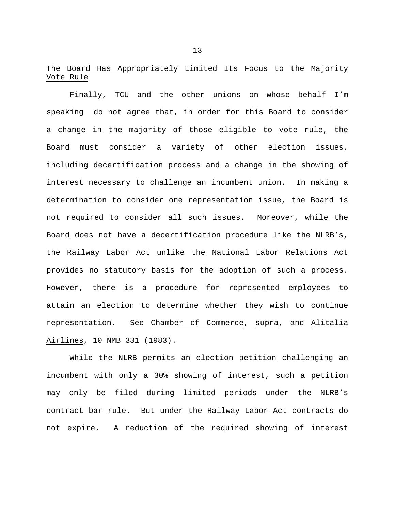# The Board Has Appropriately Limited Its Focus to the Majority Vote Rule

 Finally, TCU and the other unions on whose behalf I'm speaking do not agree that, in order for this Board to consider a change in the majority of those eligible to vote rule, the Board must consider a variety of other election issues, including decertification process and a change in the showing of interest necessary to challenge an incumbent union. In making a determination to consider one representation issue, the Board is not required to consider all such issues. Moreover, while the Board does not have a decertification procedure like the NLRB's, the Railway Labor Act unlike the National Labor Relations Act provides no statutory basis for the adoption of such a process. However, there is a procedure for represented employees to attain an election to determine whether they wish to continue representation. See Chamber of Commerce, supra, and Alitalia Airlines, 10 NMB 331 (1983).

 While the NLRB permits an election petition challenging an incumbent with only a 30% showing of interest, such a petition may only be filed during limited periods under the NLRB's contract bar rule. But under the Railway Labor Act contracts do not expire. A reduction of the required showing of interest